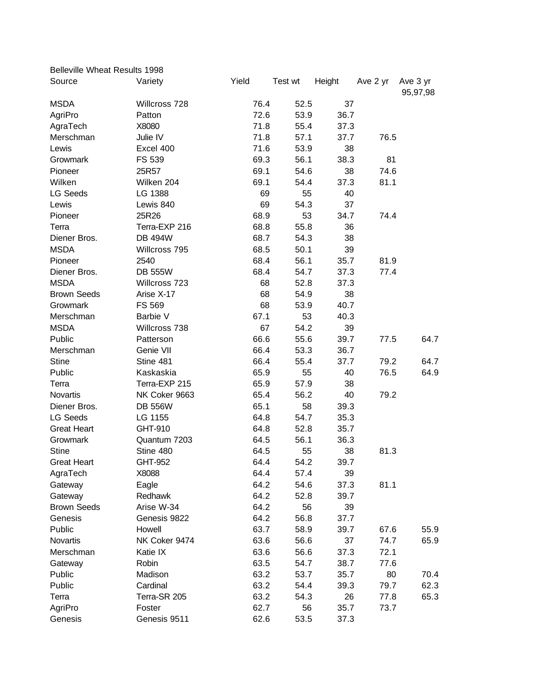| Belleville Wheat Results 1998 |                |       |         |        |          |                      |
|-------------------------------|----------------|-------|---------|--------|----------|----------------------|
| Source                        | Variety        | Yield | Test wt | Height | Ave 2 yr | Ave 3 yr<br>95,97,98 |
| <b>MSDA</b>                   | Willcross 728  | 76.4  | 52.5    | 37     |          |                      |
| AgriPro                       | Patton         | 72.6  | 53.9    | 36.7   |          |                      |
| AgraTech                      | X8080          | 71.8  | 55.4    | 37.3   |          |                      |
| Merschman                     | Julie IV       | 71.8  | 57.1    | 37.7   | 76.5     |                      |
| Lewis                         | Excel 400      | 71.6  | 53.9    | 38     |          |                      |
| Growmark                      | FS 539         | 69.3  | 56.1    | 38.3   | 81       |                      |
| Pioneer                       | 25R57          | 69.1  | 54.6    | 38     | 74.6     |                      |
| Wilken                        | Wilken 204     | 69.1  | 54.4    | 37.3   | 81.1     |                      |
| <b>LG Seeds</b>               | LG 1388        | 69    | 55      | 40     |          |                      |
| Lewis                         | Lewis 840      | 69    | 54.3    | 37     |          |                      |
| Pioneer                       | 25R26          | 68.9  | 53      | 34.7   | 74.4     |                      |
| Terra                         | Terra-EXP 216  | 68.8  | 55.8    | 36     |          |                      |
| Diener Bros.                  | <b>DB 494W</b> | 68.7  | 54.3    | 38     |          |                      |
| <b>MSDA</b>                   | Willcross 795  | 68.5  | 50.1    | 39     |          |                      |
| Pioneer                       | 2540           | 68.4  | 56.1    | 35.7   | 81.9     |                      |
| Diener Bros.                  | <b>DB 555W</b> | 68.4  | 54.7    | 37.3   | 77.4     |                      |
| <b>MSDA</b>                   | Willcross 723  | 68    | 52.8    | 37.3   |          |                      |
| <b>Brown Seeds</b>            | Arise X-17     | 68    | 54.9    | 38     |          |                      |
| Growmark                      | <b>FS 569</b>  | 68    | 53.9    | 40.7   |          |                      |
| Merschman                     | Barbie V       | 67.1  | 53      | 40.3   |          |                      |
| <b>MSDA</b>                   | Willcross 738  | 67    | 54.2    | 39     |          |                      |
| Public                        | Patterson      | 66.6  | 55.6    | 39.7   | 77.5     | 64.7                 |
| Merschman                     | Genie VII      | 66.4  | 53.3    | 36.7   |          |                      |
| <b>Stine</b>                  | Stine 481      | 66.4  | 55.4    | 37.7   | 79.2     | 64.7                 |
| Public                        | Kaskaskia      | 65.9  | 55      | 40     | 76.5     | 64.9                 |
| Terra                         | Terra-EXP 215  | 65.9  | 57.9    | 38     |          |                      |
| <b>Novartis</b>               | NK Coker 9663  | 65.4  | 56.2    | 40     | 79.2     |                      |
| Diener Bros.                  | <b>DB 556W</b> | 65.1  | 58      | 39.3   |          |                      |
| <b>LG Seeds</b>               | LG 1155        | 64.8  | 54.7    | 35.3   |          |                      |
| <b>Great Heart</b>            | GHT-910        | 64.8  | 52.8    | 35.7   |          |                      |
| Growmark                      | Quantum 7203   | 64.5  | 56.1    | 36.3   |          |                      |
| <b>Stine</b>                  | Stine 480      | 64.5  | 55      | 38     | 81.3     |                      |
| <b>Great Heart</b>            | GHT-952        | 64.4  | 54.2    | 39.7   |          |                      |
| AgraTech                      | X8088          | 64.4  | 57.4    | 39     |          |                      |
| Gateway                       | Eagle          | 64.2  | 54.6    | 37.3   | 81.1     |                      |
| Gateway                       | Redhawk        | 64.2  | 52.8    | 39.7   |          |                      |
| <b>Brown Seeds</b>            | Arise W-34     | 64.2  | 56      | 39     |          |                      |
| Genesis                       | Genesis 9822   | 64.2  | 56.8    | 37.7   |          |                      |
| Public                        | Howell         | 63.7  | 58.9    | 39.7   | 67.6     | 55.9                 |
| Novartis                      | NK Coker 9474  | 63.6  | 56.6    | 37     | 74.7     | 65.9                 |
| Merschman                     | Katie IX       | 63.6  | 56.6    | 37.3   | 72.1     |                      |
| Gateway                       | Robin          | 63.5  | 54.7    | 38.7   | 77.6     |                      |
| Public                        | Madison        | 63.2  | 53.7    | 35.7   | 80       | 70.4                 |
| Public                        | Cardinal       | 63.2  | 54.4    | 39.3   | 79.7     | 62.3                 |
| Terra                         | Terra-SR 205   | 63.2  | 54.3    | 26     | 77.8     | 65.3                 |
| AgriPro                       | Foster         | 62.7  | 56      | 35.7   | 73.7     |                      |
| Genesis                       | Genesis 9511   | 62.6  | 53.5    | 37.3   |          |                      |